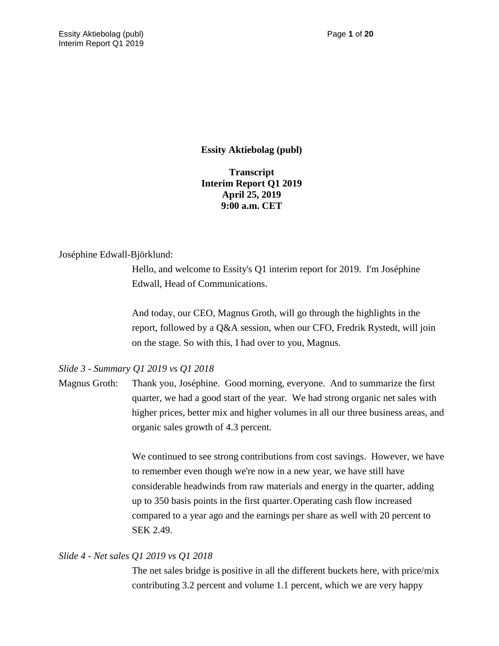**Essity Aktiebolag (publ)**

**Transcript Interim Report Q1 2019 April 25, 2019 9:00 a.m. CET**

### Joséphine Edwall-Björklund:

Hello, and welcome to Essity's Q1 interim report for 2019. I'm Joséphine Edwall, Head of Communications.

And today, our CEO, Magnus Groth, will go through the highlights in the report, followed by a Q&A session, when our CFO, Fredrik Rystedt, will join on the stage. So with this, I had over to you, Magnus.

## *Slide 3 - Summary Q1 2019 vs Q1 2018*

Magnus Groth: Thank you, Joséphine. Good morning, everyone. And to summarize the first quarter, we had a good start of the year. We had strong organic net sales with higher prices, better mix and higher volumes in all our three business areas, and organic sales growth of 4.3 percent.

> We continued to see strong contributions from cost savings. However, we have to remember even though we're now in a new year, we have still have considerable headwinds from raw materials and energy in the quarter, adding up to 350 basis points in the first quarter.Operating cash flow increased compared to a year ago and the earnings per share as well with 20 percent to SEK 2.49.

# *Slide 4 - Net sales Q1 2019 vs Q1 2018*

The net sales bridge is positive in all the different buckets here, with price/mix contributing 3.2 percent and volume 1.1 percent, which we are very happy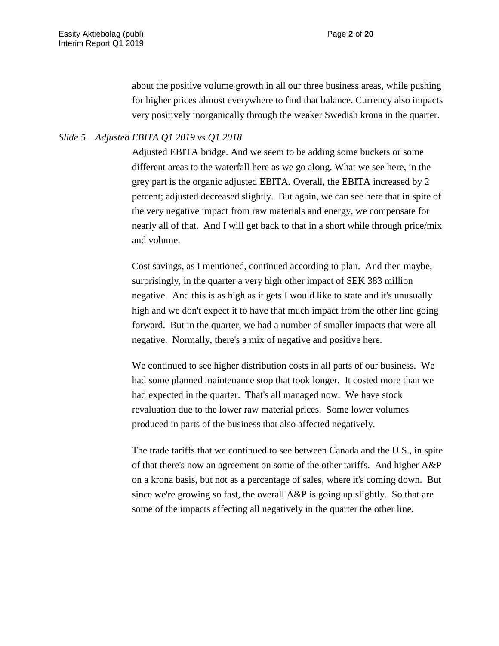about the positive volume growth in all our three business areas, while pushing for higher prices almost everywhere to find that balance. Currency also impacts very positively inorganically through the weaker Swedish krona in the quarter.

# *Slide 5 – Adjusted EBITA Q1 2019 vs Q1 2018*

Adjusted EBITA bridge. And we seem to be adding some buckets or some different areas to the waterfall here as we go along. What we see here, in the grey part is the organic adjusted EBITA. Overall, the EBITA increased by 2 percent; adjusted decreased slightly. But again, we can see here that in spite of the very negative impact from raw materials and energy, we compensate for nearly all of that. And I will get back to that in a short while through price/mix and volume.

Cost savings, as I mentioned, continued according to plan. And then maybe, surprisingly, in the quarter a very high other impact of SEK 383 million negative. And this is as high as it gets I would like to state and it's unusually high and we don't expect it to have that much impact from the other line going forward. But in the quarter, we had a number of smaller impacts that were all negative. Normally, there's a mix of negative and positive here.

We continued to see higher distribution costs in all parts of our business. We had some planned maintenance stop that took longer. It costed more than we had expected in the quarter. That's all managed now. We have stock revaluation due to the lower raw material prices. Some lower volumes produced in parts of the business that also affected negatively.

The trade tariffs that we continued to see between Canada and the U.S., in spite of that there's now an agreement on some of the other tariffs. And higher A&P on a krona basis, but not as a percentage of sales, where it's coming down. But since we're growing so fast, the overall A&P is going up slightly. So that are some of the impacts affecting all negatively in the quarter the other line.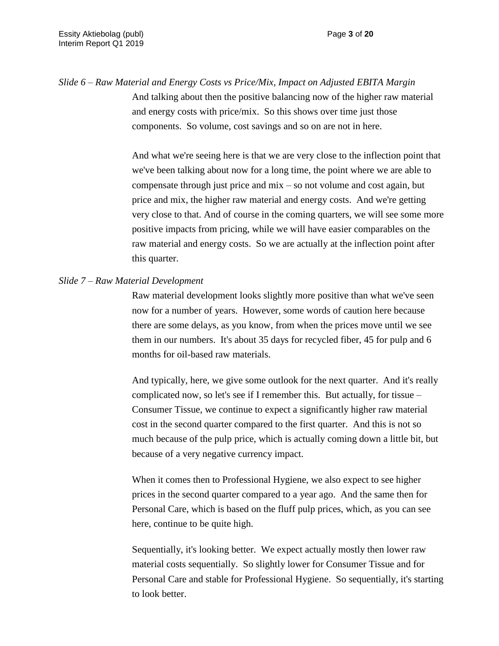*Slide 6 – Raw Material and Energy Costs vs Price/Mix, Impact on Adjusted EBITA Margin* And talking about then the positive balancing now of the higher raw material and energy costs with price/mix. So this shows over time just those components. So volume, cost savings and so on are not in here.

> And what we're seeing here is that we are very close to the inflection point that we've been talking about now for a long time, the point where we are able to compensate through just price and mix – so not volume and cost again, but price and mix, the higher raw material and energy costs. And we're getting very close to that. And of course in the coming quarters, we will see some more positive impacts from pricing, while we will have easier comparables on the raw material and energy costs. So we are actually at the inflection point after this quarter.

#### *Slide 7 – Raw Material Development*

Raw material development looks slightly more positive than what we've seen now for a number of years. However, some words of caution here because there are some delays, as you know, from when the prices move until we see them in our numbers. It's about 35 days for recycled fiber, 45 for pulp and 6 months for oil-based raw materials.

And typically, here, we give some outlook for the next quarter. And it's really complicated now, so let's see if I remember this. But actually, for tissue – Consumer Tissue, we continue to expect a significantly higher raw material cost in the second quarter compared to the first quarter. And this is not so much because of the pulp price, which is actually coming down a little bit, but because of a very negative currency impact.

When it comes then to Professional Hygiene, we also expect to see higher prices in the second quarter compared to a year ago. And the same then for Personal Care, which is based on the fluff pulp prices, which, as you can see here, continue to be quite high.

Sequentially, it's looking better. We expect actually mostly then lower raw material costs sequentially. So slightly lower for Consumer Tissue and for Personal Care and stable for Professional Hygiene. So sequentially, it's starting to look better.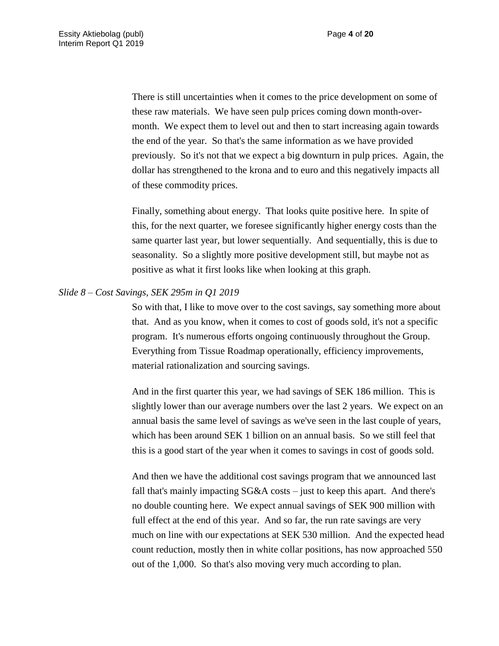There is still uncertainties when it comes to the price development on some of these raw materials. We have seen pulp prices coming down month-overmonth. We expect them to level out and then to start increasing again towards the end of the year. So that's the same information as we have provided previously. So it's not that we expect a big downturn in pulp prices. Again, the dollar has strengthened to the krona and to euro and this negatively impacts all of these commodity prices.

Finally, something about energy. That looks quite positive here. In spite of this, for the next quarter, we foresee significantly higher energy costs than the same quarter last year, but lower sequentially. And sequentially, this is due to seasonality. So a slightly more positive development still, but maybe not as positive as what it first looks like when looking at this graph.

## *Slide 8 – Cost Savings, SEK 295m in Q1 2019*

So with that, I like to move over to the cost savings, say something more about that. And as you know, when it comes to cost of goods sold, it's not a specific program. It's numerous efforts ongoing continuously throughout the Group. Everything from Tissue Roadmap operationally, efficiency improvements, material rationalization and sourcing savings.

And in the first quarter this year, we had savings of SEK 186 million. This is slightly lower than our average numbers over the last 2 years. We expect on an annual basis the same level of savings as we've seen in the last couple of years, which has been around SEK 1 billion on an annual basis. So we still feel that this is a good start of the year when it comes to savings in cost of goods sold.

And then we have the additional cost savings program that we announced last fall that's mainly impacting SG&A costs – just to keep this apart. And there's no double counting here. We expect annual savings of SEK 900 million with full effect at the end of this year. And so far, the run rate savings are very much on line with our expectations at SEK 530 million. And the expected head count reduction, mostly then in white collar positions, has now approached 550 out of the 1,000. So that's also moving very much according to plan.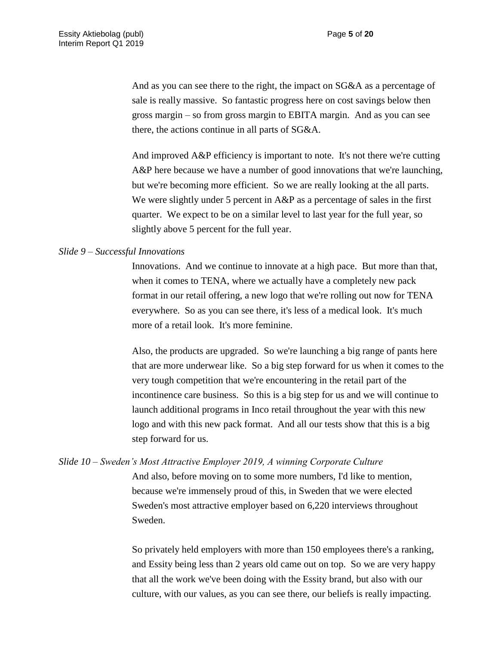And as you can see there to the right, the impact on SG&A as a percentage of sale is really massive. So fantastic progress here on cost savings below then gross margin – so from gross margin to EBITA margin. And as you can see there, the actions continue in all parts of SG&A.

And improved A&P efficiency is important to note. It's not there we're cutting A&P here because we have a number of good innovations that we're launching, but we're becoming more efficient. So we are really looking at the all parts. We were slightly under 5 percent in A&P as a percentage of sales in the first quarter. We expect to be on a similar level to last year for the full year, so slightly above 5 percent for the full year.

#### *Slide 9 – Successful Innovations*

Innovations. And we continue to innovate at a high pace. But more than that, when it comes to TENA, where we actually have a completely new pack format in our retail offering, a new logo that we're rolling out now for TENA everywhere. So as you can see there, it's less of a medical look. It's much more of a retail look. It's more feminine.

Also, the products are upgraded. So we're launching a big range of pants here that are more underwear like. So a big step forward for us when it comes to the very tough competition that we're encountering in the retail part of the incontinence care business. So this is a big step for us and we will continue to launch additional programs in Inco retail throughout the year with this new logo and with this new pack format. And all our tests show that this is a big step forward for us.

*Slide 10 – Sweden's Most Attractive Employer 2019, A winning Corporate Culture* And also, before moving on to some more numbers, I'd like to mention, because we're immensely proud of this, in Sweden that we were elected Sweden's most attractive employer based on 6,220 interviews throughout Sweden.

> So privately held employers with more than 150 employees there's a ranking, and Essity being less than 2 years old came out on top. So we are very happy that all the work we've been doing with the Essity brand, but also with our culture, with our values, as you can see there, our beliefs is really impacting.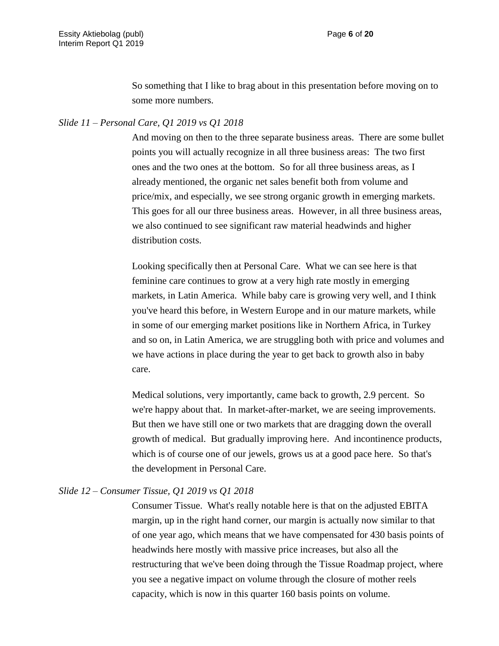So something that I like to brag about in this presentation before moving on to some more numbers.

### *Slide 11 – Personal Care, Q1 2019 vs Q1 2018*

And moving on then to the three separate business areas. There are some bullet points you will actually recognize in all three business areas: The two first ones and the two ones at the bottom. So for all three business areas, as I already mentioned, the organic net sales benefit both from volume and price/mix, and especially, we see strong organic growth in emerging markets. This goes for all our three business areas. However, in all three business areas, we also continued to see significant raw material headwinds and higher distribution costs.

Looking specifically then at Personal Care. What we can see here is that feminine care continues to grow at a very high rate mostly in emerging markets, in Latin America. While baby care is growing very well, and I think you've heard this before, in Western Europe and in our mature markets, while in some of our emerging market positions like in Northern Africa, in Turkey and so on, in Latin America, we are struggling both with price and volumes and we have actions in place during the year to get back to growth also in baby care.

Medical solutions, very importantly, came back to growth, 2.9 percent. So we're happy about that. In market-after-market, we are seeing improvements. But then we have still one or two markets that are dragging down the overall growth of medical. But gradually improving here. And incontinence products, which is of course one of our jewels, grows us at a good pace here. So that's the development in Personal Care.

## *Slide 12 – Consumer Tissue, Q1 2019 vs Q1 2018*

Consumer Tissue. What's really notable here is that on the adjusted EBITA margin, up in the right hand corner, our margin is actually now similar to that of one year ago, which means that we have compensated for 430 basis points of headwinds here mostly with massive price increases, but also all the restructuring that we've been doing through the Tissue Roadmap project, where you see a negative impact on volume through the closure of mother reels capacity, which is now in this quarter 160 basis points on volume.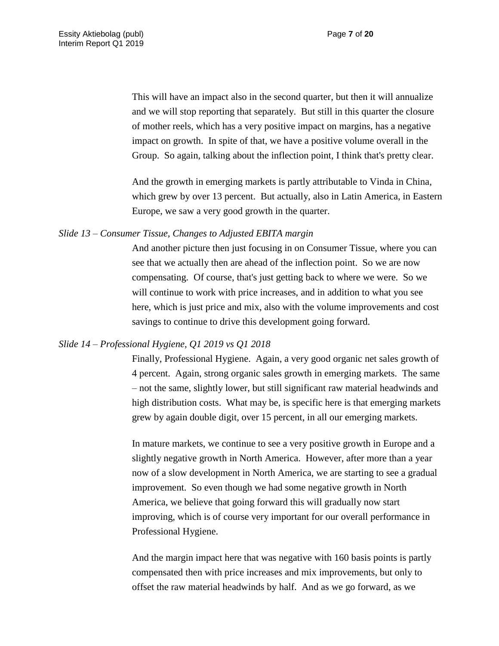This will have an impact also in the second quarter, but then it will annualize and we will stop reporting that separately. But still in this quarter the closure of mother reels, which has a very positive impact on margins, has a negative impact on growth. In spite of that, we have a positive volume overall in the Group. So again, talking about the inflection point, I think that's pretty clear.

And the growth in emerging markets is partly attributable to Vinda in China, which grew by over 13 percent. But actually, also in Latin America, in Eastern Europe, we saw a very good growth in the quarter.

## *Slide 13 – Consumer Tissue, Changes to Adjusted EBITA margin*

And another picture then just focusing in on Consumer Tissue, where you can see that we actually then are ahead of the inflection point. So we are now compensating. Of course, that's just getting back to where we were. So we will continue to work with price increases, and in addition to what you see here, which is just price and mix, also with the volume improvements and cost savings to continue to drive this development going forward.

## *Slide 14 – Professional Hygiene, Q1 2019 vs Q1 2018*

Finally, Professional Hygiene. Again, a very good organic net sales growth of 4 percent. Again, strong organic sales growth in emerging markets. The same – not the same, slightly lower, but still significant raw material headwinds and high distribution costs. What may be, is specific here is that emerging markets grew by again double digit, over 15 percent, in all our emerging markets.

In mature markets, we continue to see a very positive growth in Europe and a slightly negative growth in North America. However, after more than a year now of a slow development in North America, we are starting to see a gradual improvement. So even though we had some negative growth in North America, we believe that going forward this will gradually now start improving, which is of course very important for our overall performance in Professional Hygiene.

And the margin impact here that was negative with 160 basis points is partly compensated then with price increases and mix improvements, but only to offset the raw material headwinds by half. And as we go forward, as we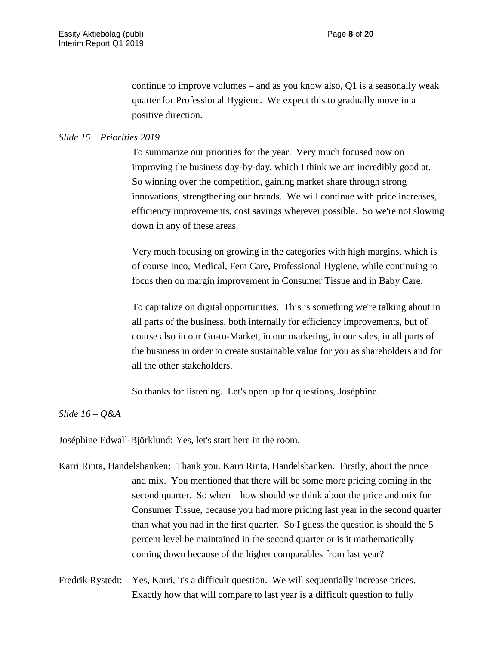continue to improve volumes – and as you know also, Q1 is a seasonally weak quarter for Professional Hygiene. We expect this to gradually move in a positive direction.

### *Slide 15 – Priorities 2019*

To summarize our priorities for the year. Very much focused now on improving the business day-by-day, which I think we are incredibly good at. So winning over the competition, gaining market share through strong innovations, strengthening our brands. We will continue with price increases, efficiency improvements, cost savings wherever possible. So we're not slowing down in any of these areas.

Very much focusing on growing in the categories with high margins, which is of course Inco, Medical, Fem Care, Professional Hygiene, while continuing to focus then on margin improvement in Consumer Tissue and in Baby Care.

To capitalize on digital opportunities. This is something we're talking about in all parts of the business, both internally for efficiency improvements, but of course also in our Go-to-Market, in our marketing, in our sales, in all parts of the business in order to create sustainable value for you as shareholders and for all the other stakeholders.

So thanks for listening. Let's open up for questions, Joséphine.

### *Slide 16 – Q&A*

Joséphine Edwall-Björklund: Yes, let's start here in the room.

- Karri Rinta, Handelsbanken: Thank you. Karri Rinta, Handelsbanken. Firstly, about the price and mix. You mentioned that there will be some more pricing coming in the second quarter. So when – how should we think about the price and mix for Consumer Tissue, because you had more pricing last year in the second quarter than what you had in the first quarter. So I guess the question is should the 5 percent level be maintained in the second quarter or is it mathematically coming down because of the higher comparables from last year?
- Fredrik Rystedt: Yes, Karri, it's a difficult question. We will sequentially increase prices. Exactly how that will compare to last year is a difficult question to fully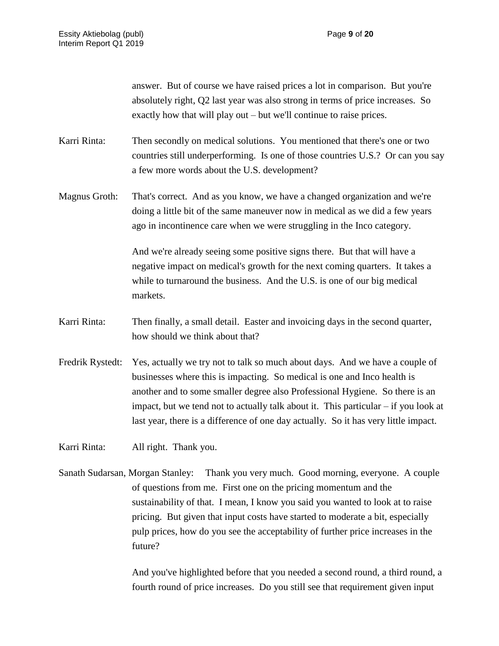|                                  | answer. But of course we have raised prices a lot in comparison. But you're<br>absolutely right, Q2 last year was also strong in terms of price increases. So<br>exactly how that will play out – but we'll continue to raise prices.                                                                                                                                                                                    |
|----------------------------------|--------------------------------------------------------------------------------------------------------------------------------------------------------------------------------------------------------------------------------------------------------------------------------------------------------------------------------------------------------------------------------------------------------------------------|
| Karri Rinta:                     | Then secondly on medical solutions. You mentioned that there's one or two<br>countries still underperforming. Is one of those countries U.S.? Or can you say<br>a few more words about the U.S. development?                                                                                                                                                                                                             |
| Magnus Groth:                    | That's correct. And as you know, we have a changed organization and we're<br>doing a little bit of the same maneuver now in medical as we did a few years<br>ago in incontinence care when we were struggling in the Inco category.                                                                                                                                                                                      |
|                                  | And we're already seeing some positive signs there. But that will have a<br>negative impact on medical's growth for the next coming quarters. It takes a<br>while to turnaround the business. And the U.S. is one of our big medical<br>markets.                                                                                                                                                                         |
| Karri Rinta:                     | Then finally, a small detail. Easter and invoicing days in the second quarter,<br>how should we think about that?                                                                                                                                                                                                                                                                                                        |
| Fredrik Rystedt:                 | Yes, actually we try not to talk so much about days. And we have a couple of<br>businesses where this is impacting. So medical is one and Inco health is<br>another and to some smaller degree also Professional Hygiene. So there is an<br>impact, but we tend not to actually talk about it. This particular $-$ if you look at<br>last year, there is a difference of one day actually. So it has very little impact. |
|                                  | Karri Rinta: All right. Thank you.                                                                                                                                                                                                                                                                                                                                                                                       |
| Sanath Sudarsan, Morgan Stanley: | Thank you very much. Good morning, everyone. A couple<br>of questions from me. First one on the pricing momentum and the<br>sustainability of that. I mean, I know you said you wanted to look at to raise<br>pricing. But given that input costs have started to moderate a bit, especially<br>pulp prices, how do you see the acceptability of further price increases in the<br>future?                               |

And you've highlighted before that you needed a second round, a third round, a fourth round of price increases. Do you still see that requirement given input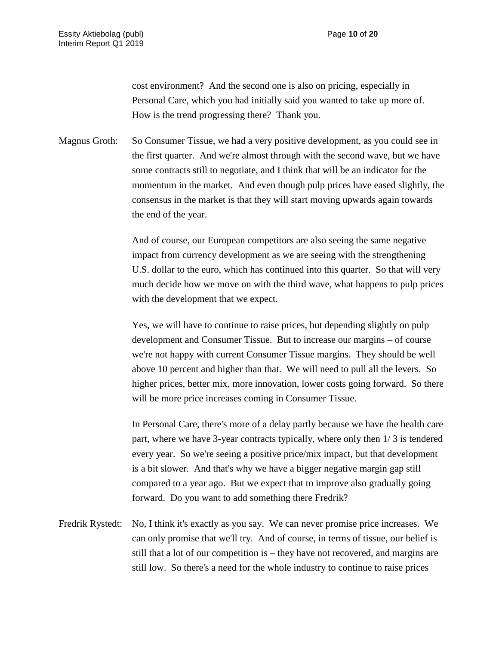cost environment? And the second one is also on pricing, especially in Personal Care, which you had initially said you wanted to take up more of. How is the trend progressing there? Thank you.

Magnus Groth: So Consumer Tissue, we had a very positive development, as you could see in the first quarter. And we're almost through with the second wave, but we have some contracts still to negotiate, and I think that will be an indicator for the momentum in the market. And even though pulp prices have eased slightly, the consensus in the market is that they will start moving upwards again towards the end of the year.

> And of course, our European competitors are also seeing the same negative impact from currency development as we are seeing with the strengthening U.S. dollar to the euro, which has continued into this quarter. So that will very much decide how we move on with the third wave, what happens to pulp prices with the development that we expect.

> Yes, we will have to continue to raise prices, but depending slightly on pulp development and Consumer Tissue. But to increase our margins – of course we're not happy with current Consumer Tissue margins. They should be well above 10 percent and higher than that. We will need to pull all the levers. So higher prices, better mix, more innovation, lower costs going forward. So there will be more price increases coming in Consumer Tissue.

> In Personal Care, there's more of a delay partly because we have the health care part, where we have 3-year contracts typically, where only then 1/ 3 is tendered every year. So we're seeing a positive price/mix impact, but that development is a bit slower. And that's why we have a bigger negative margin gap still compared to a year ago. But we expect that to improve also gradually going forward. Do you want to add something there Fredrik?

Fredrik Rystedt: No, I think it's exactly as you say. We can never promise price increases. We can only promise that we'll try. And of course, in terms of tissue, our belief is still that a lot of our competition is – they have not recovered, and margins are still low. So there's a need for the whole industry to continue to raise prices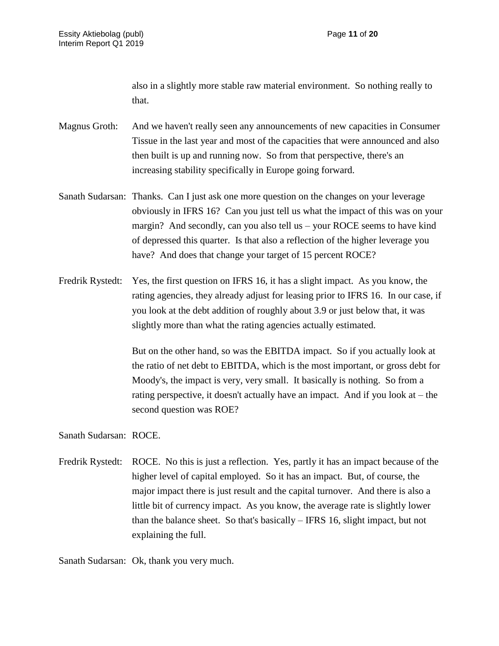also in a slightly more stable raw material environment. So nothing really to that.

Magnus Groth: And we haven't really seen any announcements of new capacities in Consumer Tissue in the last year and most of the capacities that were announced and also then built is up and running now. So from that perspective, there's an increasing stability specifically in Europe going forward.

- Sanath Sudarsan: Thanks. Can I just ask one more question on the changes on your leverage obviously in IFRS 16? Can you just tell us what the impact of this was on your margin? And secondly, can you also tell us – your ROCE seems to have kind of depressed this quarter. Is that also a reflection of the higher leverage you have? And does that change your target of 15 percent ROCE?
- Fredrik Rystedt: Yes, the first question on IFRS 16, it has a slight impact. As you know, the rating agencies, they already adjust for leasing prior to IFRS 16. In our case, if you look at the debt addition of roughly about 3.9 or just below that, it was slightly more than what the rating agencies actually estimated.

But on the other hand, so was the EBITDA impact. So if you actually look at the ratio of net debt to EBITDA, which is the most important, or gross debt for Moody's, the impact is very, very small. It basically is nothing. So from a rating perspective, it doesn't actually have an impact. And if you look at – the second question was ROE?

Sanath Sudarsan: ROCE.

Fredrik Rystedt: ROCE. No this is just a reflection. Yes, partly it has an impact because of the higher level of capital employed. So it has an impact. But, of course, the major impact there is just result and the capital turnover. And there is also a little bit of currency impact. As you know, the average rate is slightly lower than the balance sheet. So that's basically – IFRS 16, slight impact, but not explaining the full.

Sanath Sudarsan: Ok, thank you very much.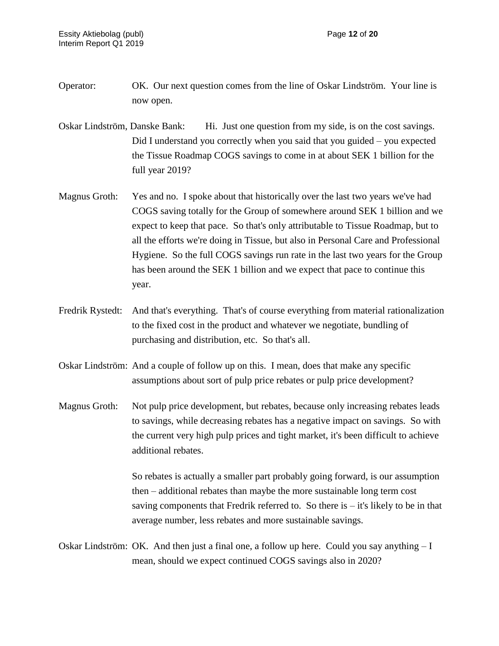- Operator: OK. Our next question comes from the line of Oskar Lindström. Your line is now open.
- Oskar Lindström, Danske Bank: Hi. Just one question from my side, is on the cost savings. Did I understand you correctly when you said that you guided – you expected the Tissue Roadmap COGS savings to come in at about SEK 1 billion for the full year 2019?
- Magnus Groth: Yes and no. I spoke about that historically over the last two years we've had COGS saving totally for the Group of somewhere around SEK 1 billion and we expect to keep that pace. So that's only attributable to Tissue Roadmap, but to all the efforts we're doing in Tissue, but also in Personal Care and Professional Hygiene. So the full COGS savings run rate in the last two years for the Group has been around the SEK 1 billion and we expect that pace to continue this year.
- Fredrik Rystedt: And that's everything. That's of course everything from material rationalization to the fixed cost in the product and whatever we negotiate, bundling of purchasing and distribution, etc. So that's all.
- Oskar Lindström: And a couple of follow up on this. I mean, does that make any specific assumptions about sort of pulp price rebates or pulp price development?
- Magnus Groth: Not pulp price development, but rebates, because only increasing rebates leads to savings, while decreasing rebates has a negative impact on savings. So with the current very high pulp prices and tight market, it's been difficult to achieve additional rebates.

So rebates is actually a smaller part probably going forward, is our assumption then – additional rebates than maybe the more sustainable long term cost saving components that Fredrik referred to. So there is  $-$  it's likely to be in that average number, less rebates and more sustainable savings.

Oskar Lindström: OK. And then just a final one, a follow up here. Could you say anything – I mean, should we expect continued COGS savings also in 2020?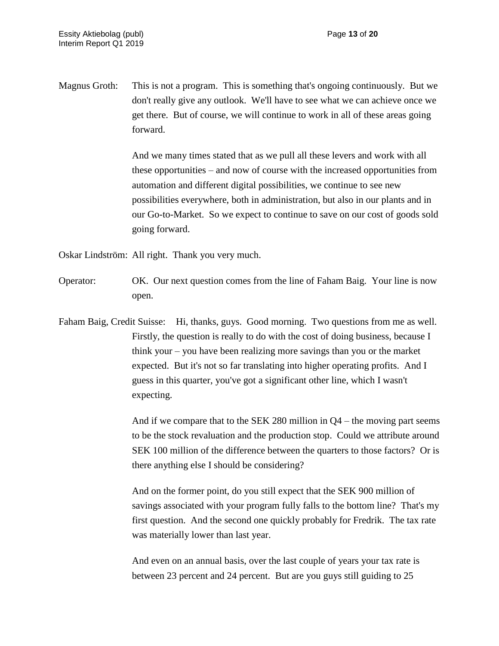Magnus Groth: This is not a program. This is something that's ongoing continuously. But we don't really give any outlook. We'll have to see what we can achieve once we get there. But of course, we will continue to work in all of these areas going forward.

> And we many times stated that as we pull all these levers and work with all these opportunities – and now of course with the increased opportunities from automation and different digital possibilities, we continue to see new possibilities everywhere, both in administration, but also in our plants and in our Go-to-Market. So we expect to continue to save on our cost of goods sold going forward.

Oskar Lindström: All right. Thank you very much.

- Operator: OK. Our next question comes from the line of Faham Baig. Your line is now open.
- Faham Baig, Credit Suisse: Hi, thanks, guys. Good morning. Two questions from me as well. Firstly, the question is really to do with the cost of doing business, because I think your – you have been realizing more savings than you or the market expected. But it's not so far translating into higher operating profits. And I guess in this quarter, you've got a significant other line, which I wasn't expecting.

And if we compare that to the SEK 280 million in  $Q4$  – the moving part seems to be the stock revaluation and the production stop. Could we attribute around SEK 100 million of the difference between the quarters to those factors? Or is there anything else I should be considering?

And on the former point, do you still expect that the SEK 900 million of savings associated with your program fully falls to the bottom line? That's my first question. And the second one quickly probably for Fredrik. The tax rate was materially lower than last year.

And even on an annual basis, over the last couple of years your tax rate is between 23 percent and 24 percent. But are you guys still guiding to 25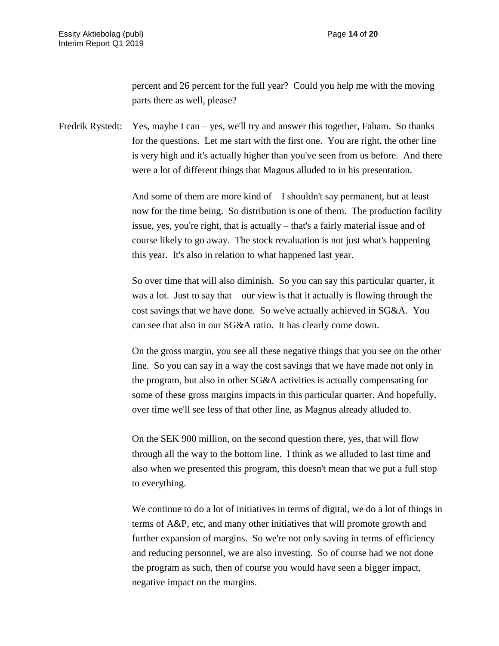percent and 26 percent for the full year? Could you help me with the moving parts there as well, please?

Fredrik Rystedt: Yes, maybe I can – yes, we'll try and answer this together, Faham. So thanks for the questions. Let me start with the first one. You are right, the other line is very high and it's actually higher than you've seen from us before. And there were a lot of different things that Magnus alluded to in his presentation.

> And some of them are more kind of – I shouldn't say permanent, but at least now for the time being. So distribution is one of them. The production facility issue, yes, you're right, that is actually – that's a fairly material issue and of course likely to go away. The stock revaluation is not just what's happening this year. It's also in relation to what happened last year.

So over time that will also diminish. So you can say this particular quarter, it was a lot. Just to say that – our view is that it actually is flowing through the cost savings that we have done. So we've actually achieved in SG&A. You can see that also in our SG&A ratio. It has clearly come down.

On the gross margin, you see all these negative things that you see on the other line. So you can say in a way the cost savings that we have made not only in the program, but also in other SG&A activities is actually compensating for some of these gross margins impacts in this particular quarter. And hopefully, over time we'll see less of that other line, as Magnus already alluded to.

On the SEK 900 million, on the second question there, yes, that will flow through all the way to the bottom line. I think as we alluded to last time and also when we presented this program, this doesn't mean that we put a full stop to everything.

We continue to do a lot of initiatives in terms of digital, we do a lot of things in terms of A&P, etc, and many other initiatives that will promote growth and further expansion of margins. So we're not only saving in terms of efficiency and reducing personnel, we are also investing. So of course had we not done the program as such, then of course you would have seen a bigger impact, negative impact on the margins.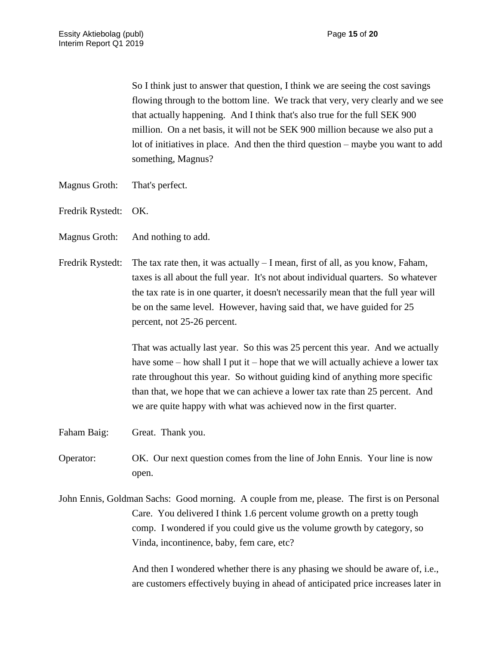So I think just to answer that question, I think we are seeing the cost savings flowing through to the bottom line. We track that very, very clearly and we see that actually happening. And I think that's also true for the full SEK 900 million. On a net basis, it will not be SEK 900 million because we also put a lot of initiatives in place. And then the third question – maybe you want to add something, Magnus?

- Magnus Groth: That's perfect.
- Fredrik Rystedt: OK.
- Magnus Groth: And nothing to add.
- Fredrik Rystedt: The tax rate then, it was actually  $-I$  mean, first of all, as you know, Faham, taxes is all about the full year. It's not about individual quarters. So whatever the tax rate is in one quarter, it doesn't necessarily mean that the full year will be on the same level. However, having said that, we have guided for 25 percent, not 25-26 percent.

That was actually last year. So this was 25 percent this year. And we actually have some – how shall I put it – hope that we will actually achieve a lower tax rate throughout this year. So without guiding kind of anything more specific than that, we hope that we can achieve a lower tax rate than 25 percent. And we are quite happy with what was achieved now in the first quarter.

- Faham Baig: Great. Thank you.
- Operator: OK. Our next question comes from the line of John Ennis. Your line is now open.
- John Ennis, Goldman Sachs: Good morning. A couple from me, please. The first is on Personal Care. You delivered I think 1.6 percent volume growth on a pretty tough comp. I wondered if you could give us the volume growth by category, so Vinda, incontinence, baby, fem care, etc?

And then I wondered whether there is any phasing we should be aware of, i.e., are customers effectively buying in ahead of anticipated price increases later in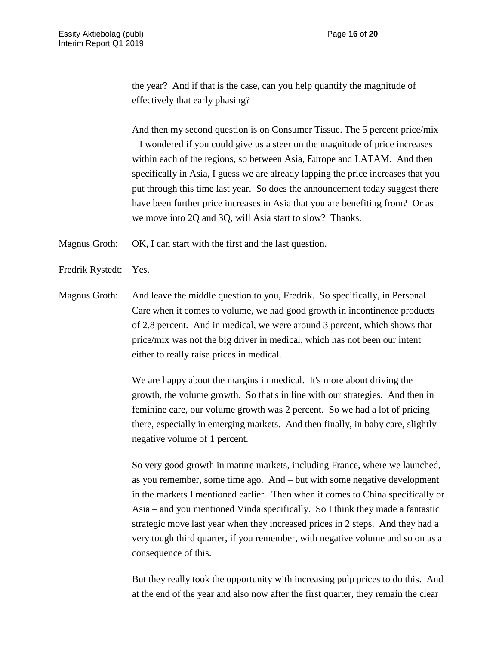the year? And if that is the case, can you help quantify the magnitude of effectively that early phasing?

And then my second question is on Consumer Tissue. The 5 percent price/mix – I wondered if you could give us a steer on the magnitude of price increases within each of the regions, so between Asia, Europe and LATAM. And then specifically in Asia, I guess we are already lapping the price increases that you put through this time last year. So does the announcement today suggest there have been further price increases in Asia that you are benefiting from? Or as we move into 2Q and 3Q, will Asia start to slow? Thanks.

Magnus Groth: OK, I can start with the first and the last question.

Fredrik Rystedt: Yes.

Magnus Groth: And leave the middle question to you, Fredrik. So specifically, in Personal Care when it comes to volume, we had good growth in incontinence products of 2.8 percent. And in medical, we were around 3 percent, which shows that price/mix was not the big driver in medical, which has not been our intent either to really raise prices in medical.

> We are happy about the margins in medical. It's more about driving the growth, the volume growth. So that's in line with our strategies. And then in feminine care, our volume growth was 2 percent. So we had a lot of pricing there, especially in emerging markets. And then finally, in baby care, slightly negative volume of 1 percent.

So very good growth in mature markets, including France, where we launched, as you remember, some time ago. And – but with some negative development in the markets I mentioned earlier. Then when it comes to China specifically or Asia – and you mentioned Vinda specifically. So I think they made a fantastic strategic move last year when they increased prices in 2 steps. And they had a very tough third quarter, if you remember, with negative volume and so on as a consequence of this.

But they really took the opportunity with increasing pulp prices to do this. And at the end of the year and also now after the first quarter, they remain the clear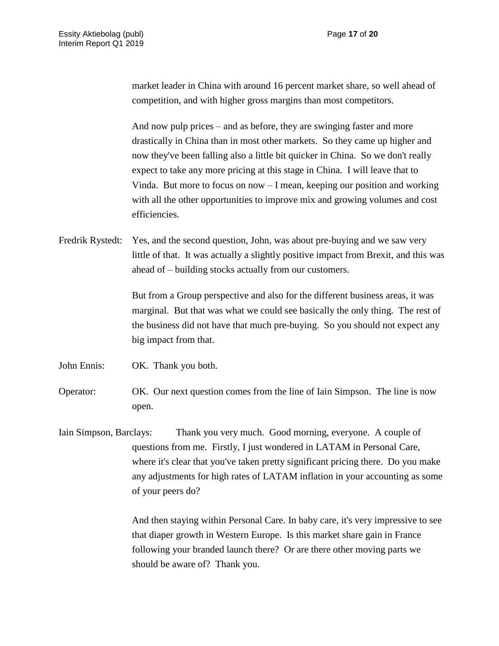market leader in China with around 16 percent market share, so well ahead of competition, and with higher gross margins than most competitors.

And now pulp prices – and as before, they are swinging faster and more drastically in China than in most other markets. So they came up higher and now they've been falling also a little bit quicker in China. So we don't really expect to take any more pricing at this stage in China. I will leave that to Vinda. But more to focus on now – I mean, keeping our position and working with all the other opportunities to improve mix and growing volumes and cost efficiencies.

Fredrik Rystedt: Yes, and the second question, John, was about pre-buying and we saw very little of that. It was actually a slightly positive impact from Brexit, and this was ahead of – building stocks actually from our customers.

> But from a Group perspective and also for the different business areas, it was marginal. But that was what we could see basically the only thing. The rest of the business did not have that much pre-buying. So you should not expect any big impact from that.

John Ennis: OK. Thank you both.

Operator: OK. Our next question comes from the line of Iain Simpson. The line is now open.

Iain Simpson, Barclays: Thank you very much. Good morning, everyone. A couple of questions from me. Firstly, I just wondered in LATAM in Personal Care, where it's clear that you've taken pretty significant pricing there. Do you make any adjustments for high rates of LATAM inflation in your accounting as some of your peers do?

> And then staying within Personal Care. In baby care, it's very impressive to see that diaper growth in Western Europe. Is this market share gain in France following your branded launch there? Or are there other moving parts we should be aware of? Thank you.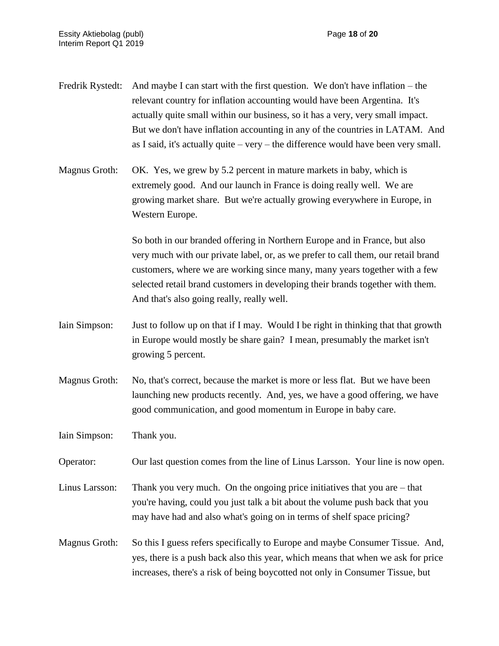- Fredrik Rystedt: And maybe I can start with the first question. We don't have inflation the relevant country for inflation accounting would have been Argentina. It's actually quite small within our business, so it has a very, very small impact. But we don't have inflation accounting in any of the countries in LATAM. And as I said, it's actually quite – very – the difference would have been very small.
- Magnus Groth: OK. Yes, we grew by 5.2 percent in mature markets in baby, which is extremely good. And our launch in France is doing really well. We are growing market share. But we're actually growing everywhere in Europe, in Western Europe.

So both in our branded offering in Northern Europe and in France, but also very much with our private label, or, as we prefer to call them, our retail brand customers, where we are working since many, many years together with a few selected retail brand customers in developing their brands together with them. And that's also going really, really well.

- Iain Simpson: Just to follow up on that if I may. Would I be right in thinking that that growth in Europe would mostly be share gain? I mean, presumably the market isn't growing 5 percent.
- Magnus Groth: No, that's correct, because the market is more or less flat. But we have been launching new products recently. And, yes, we have a good offering, we have good communication, and good momentum in Europe in baby care.

Iain Simpson: Thank you.

Operator: Our last question comes from the line of Linus Larsson. Your line is now open.

- Linus Larsson: Thank you very much. On the ongoing price initiatives that you are that you're having, could you just talk a bit about the volume push back that you may have had and also what's going on in terms of shelf space pricing?
- Magnus Groth: So this I guess refers specifically to Europe and maybe Consumer Tissue. And, yes, there is a push back also this year, which means that when we ask for price increases, there's a risk of being boycotted not only in Consumer Tissue, but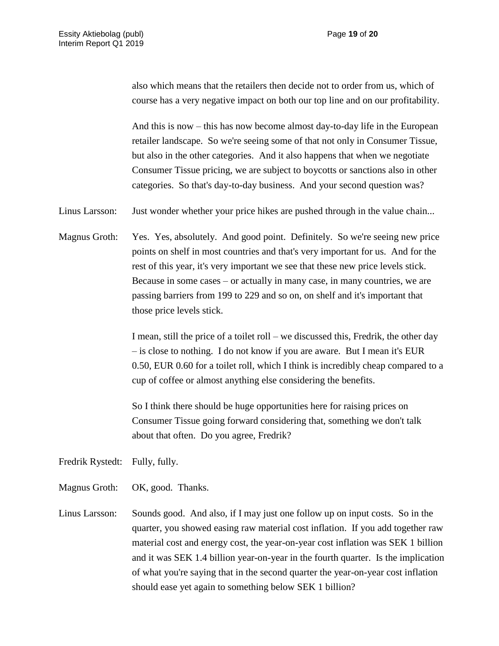also which means that the retailers then decide not to order from us, which of course has a very negative impact on both our top line and on our profitability.

And this is now – this has now become almost day-to-day life in the European retailer landscape. So we're seeing some of that not only in Consumer Tissue, but also in the other categories. And it also happens that when we negotiate Consumer Tissue pricing, we are subject to boycotts or sanctions also in other categories. So that's day-to-day business. And your second question was?

Linus Larsson: Just wonder whether your price hikes are pushed through in the value chain...

Magnus Groth: Yes. Yes, absolutely. And good point. Definitely. So we're seeing new price points on shelf in most countries and that's very important for us. And for the rest of this year, it's very important we see that these new price levels stick. Because in some cases – or actually in many case, in many countries, we are passing barriers from 199 to 229 and so on, on shelf and it's important that those price levels stick.

> I mean, still the price of a toilet roll – we discussed this, Fredrik, the other day – is close to nothing. I do not know if you are aware. But I mean it's EUR 0.50, EUR 0.60 for a toilet roll, which I think is incredibly cheap compared to a cup of coffee or almost anything else considering the benefits.

So I think there should be huge opportunities here for raising prices on Consumer Tissue going forward considering that, something we don't talk about that often. Do you agree, Fredrik?

Fredrik Rystedt: Fully, fully.

Magnus Groth: OK, good. Thanks.

Linus Larsson: Sounds good. And also, if I may just one follow up on input costs. So in the quarter, you showed easing raw material cost inflation. If you add together raw material cost and energy cost, the year-on-year cost inflation was SEK 1 billion and it was SEK 1.4 billion year-on-year in the fourth quarter. Is the implication of what you're saying that in the second quarter the year-on-year cost inflation should ease yet again to something below SEK 1 billion?